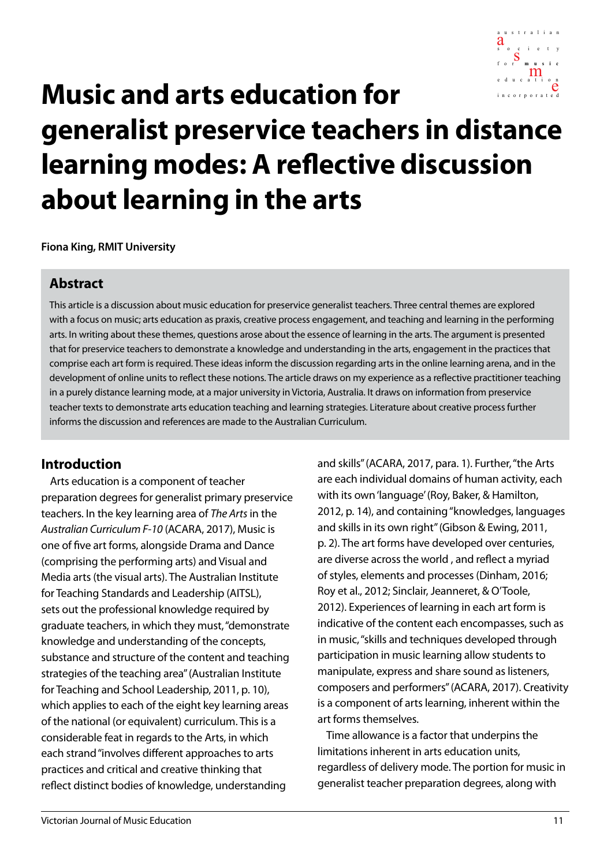

# inco r p o r ated **Music and arts education for generalist preservice teachers in distance learning modes: A reflective discussion about learning in the arts**

**Fiona King, RMIT University**

#### **Abstract**

This article is a discussion about music education for preservice generalist teachers. Three central themes are explored with a focus on music; arts education as praxis, creative process engagement, and teaching and learning in the performing arts. In writing about these themes, questions arose about the essence of learning in the arts. The argument is presented that for preservice teachers to demonstrate a knowledge and understanding in the arts, engagement in the practices that comprise each art form is required. These ideas inform the discussion regarding arts in the online learning arena, and in the development of online units to reflect these notions. The article draws on my experience as a reflective practitioner teaching in a purely distance learning mode, at a major university in Victoria, Australia. It draws on information from preservice teacher texts to demonstrate arts education teaching and learning strategies. Literature about creative process further informs the discussion and references are made to the Australian Curriculum.

#### **Introduction**

Arts education is a component of teacher preparation degrees for generalist primary preservice teachers. In the key learning area of *The Arts* in the *Australian Curriculum F-10* (ACARA, 2017), Music is one of five art forms, alongside Drama and Dance (comprising the performing arts) and Visual and Media arts (the visual arts). The Australian Institute for Teaching Standards and Leadership (AITSL), sets out the professional knowledge required by graduate teachers, in which they must, "demonstrate knowledge and understanding of the concepts, substance and structure of the content and teaching strategies of the teaching area" (Australian Institute for Teaching and School Leadership, 2011, p. 10), which applies to each of the eight key learning areas of the national (or equivalent) curriculum. This is a considerable feat in regards to the Arts, in which each strand "involves different approaches to arts practices and critical and creative thinking that reflect distinct bodies of knowledge, understanding

and skills" (ACARA, 2017, para. 1). Further, "the Arts are each individual domains of human activity, each with its own 'language' (Roy, Baker, & Hamilton, 2012, p. 14), and containing "knowledges, languages and skills in its own right" (Gibson & Ewing, 2011, p. 2). The art forms have developed over centuries, are diverse across the world , and reflect a myriad of styles, elements and processes (Dinham, 2016; Roy et al., 2012; Sinclair, Jeanneret, & O'Toole, 2012). Experiences of learning in each art form is indicative of the content each encompasses, such as in music, "skills and techniques developed through participation in music learning allow students to manipulate, express and share sound as listeners, composers and performers" (ACARA, 2017). Creativity is a component of arts learning, inherent within the art forms themselves.

Time allowance is a factor that underpins the limitations inherent in arts education units, regardless of delivery mode. The portion for music in generalist teacher preparation degrees, along with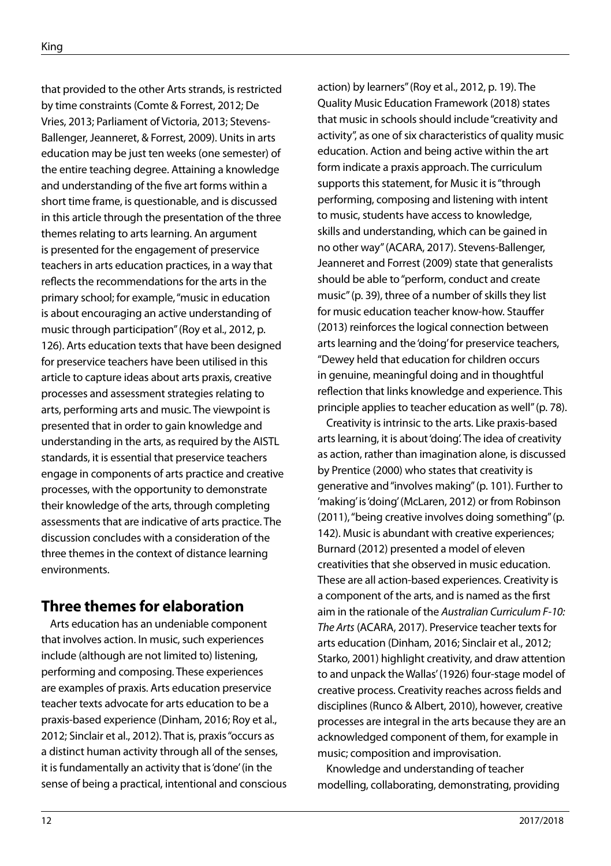that provided to the other Arts strands, is restricted by time constraints (Comte & Forrest, 2012; De Vries, 2013; Parliament of Victoria, 2013; Stevens-Ballenger, Jeanneret, & Forrest, 2009). Units in arts education may be just ten weeks (one semester) of the entire teaching degree. Attaining a knowledge and understanding of the five art forms within a short time frame, is questionable, and is discussed in this article through the presentation of the three themes relating to arts learning. An argument is presented for the engagement of preservice teachers in arts education practices, in a way that reflects the recommendations for the arts in the primary school; for example, "music in education is about encouraging an active understanding of music through participation" (Roy et al., 2012, p. 126). Arts education texts that have been designed for preservice teachers have been utilised in this article to capture ideas about arts praxis, creative processes and assessment strategies relating to arts, performing arts and music. The viewpoint is presented that in order to gain knowledge and understanding in the arts, as required by the AISTL standards, it is essential that preservice teachers engage in components of arts practice and creative processes, with the opportunity to demonstrate their knowledge of the arts, through completing assessments that are indicative of arts practice. The discussion concludes with a consideration of the three themes in the context of distance learning environments.

## **Three themes for elaboration**

Arts education has an undeniable component that involves action. In music, such experiences include (although are not limited to) listening, performing and composing. These experiences are examples of praxis. Arts education preservice teacher texts advocate for arts education to be a praxis-based experience (Dinham, 2016; Roy et al., 2012; Sinclair et al., 2012). That is, praxis "occurs as a distinct human activity through all of the senses, it is fundamentally an activity that is 'done' (in the sense of being a practical, intentional and conscious action) by learners" (Roy et al., 2012, p. 19). The Quality Music Education Framework (2018) states that music in schools should include "creativity and activity", as one of six characteristics of quality music education. Action and being active within the art form indicate a praxis approach. The curriculum supports this statement, for Music it is "through performing, composing and listening with intent to music, students have access to knowledge, skills and understanding, which can be gained in no other way" (ACARA, 2017). Stevens-Ballenger, Jeanneret and Forrest (2009) state that generalists should be able to "perform, conduct and create music" (p. 39), three of a number of skills they list for music education teacher know-how. Stauffer (2013) reinforces the logical connection between arts learning and the 'doing' for preservice teachers, "Dewey held that education for children occurs in genuine, meaningful doing and in thoughtful reflection that links knowledge and experience. This principle applies to teacher education as well" (p. 78).

Creativity is intrinsic to the arts. Like praxis-based arts learning, it is about 'doing'. The idea of creativity as action, rather than imagination alone, is discussed by Prentice (2000) who states that creativity is generative and "involves making" (p. 101). Further to 'making' is 'doing' (McLaren, 2012) or from Robinson (2011), "being creative involves doing something" (p. 142). Music is abundant with creative experiences; Burnard (2012) presented a model of eleven creativities that she observed in music education. These are all action-based experiences. Creativity is a component of the arts, and is named as the first aim in the rationale of the *Australian Curriculum F-10: The Arts* (ACARA, 2017). Preservice teacher texts for arts education (Dinham, 2016; Sinclair et al., 2012; Starko, 2001) highlight creativity, and draw attention to and unpack the Wallas' (1926) four-stage model of creative process. Creativity reaches across fields and disciplines (Runco & Albert, 2010), however, creative processes are integral in the arts because they are an acknowledged component of them, for example in music; composition and improvisation.

Knowledge and understanding of teacher modelling, collaborating, demonstrating, providing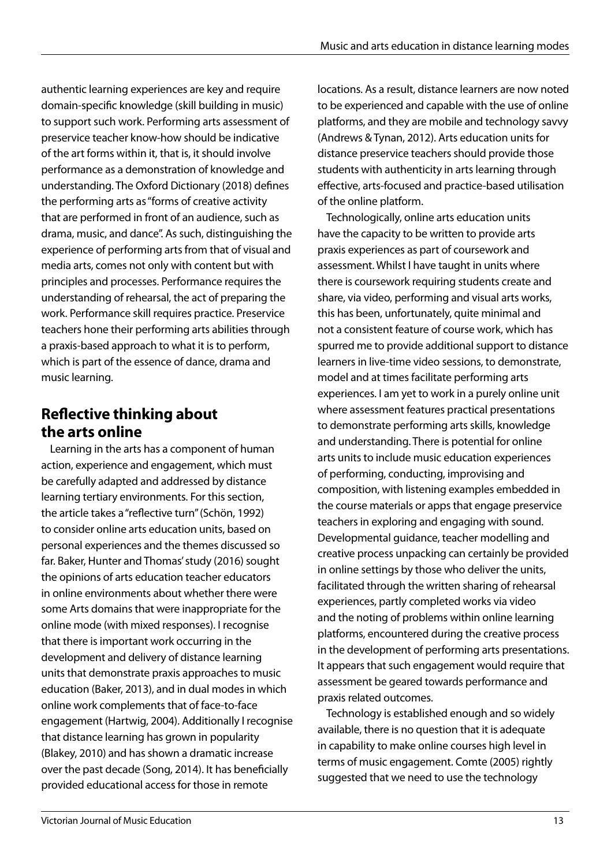authentic learning experiences are key and require domain-specific knowledge (skill building in music) to support such work. Performing arts assessment of preservice teacher know-how should be indicative of the art forms within it, that is, it should involve performance as a demonstration of knowledge and understanding. The Oxford Dictionary (2018) defines the performing arts as "forms of creative activity that are performed in front of an audience, such as drama, music, and dance". As such, distinguishing the experience of performing arts from that of visual and media arts, comes not only with content but with principles and processes. Performance requires the understanding of rehearsal, the act of preparing the work. Performance skill requires practice. Preservice teachers hone their performing arts abilities through a praxis-based approach to what it is to perform, which is part of the essence of dance, drama and music learning.

## **Reflective thinking about the arts online**

Learning in the arts has a component of human action, experience and engagement, which must be carefully adapted and addressed by distance learning tertiary environments. For this section, the article takes a "reflective turn" (Schön, 1992) to consider online arts education units, based on personal experiences and the themes discussed so far. Baker, Hunter and Thomas' study (2016) sought the opinions of arts education teacher educators in online environments about whether there were some Arts domains that were inappropriate for the online mode (with mixed responses). I recognise that there is important work occurring in the development and delivery of distance learning units that demonstrate praxis approaches to music education (Baker, 2013), and in dual modes in which online work complements that of face-to-face engagement (Hartwig, 2004). Additionally I recognise that distance learning has grown in popularity (Blakey, 2010) and has shown a dramatic increase over the past decade (Song, 2014). It has beneficially provided educational access for those in remote

locations. As a result, distance learners are now noted to be experienced and capable with the use of online platforms, and they are mobile and technology savvy (Andrews & Tynan, 2012). Arts education units for distance preservice teachers should provide those students with authenticity in arts learning through effective, arts-focused and practice-based utilisation of the online platform.

Technologically, online arts education units have the capacity to be written to provide arts praxis experiences as part of coursework and assessment. Whilst I have taught in units where there is coursework requiring students create and share, via video, performing and visual arts works, this has been, unfortunately, quite minimal and not a consistent feature of course work, which has spurred me to provide additional support to distance learners in live-time video sessions, to demonstrate, model and at times facilitate performing arts experiences. I am yet to work in a purely online unit where assessment features practical presentations to demonstrate performing arts skills, knowledge and understanding. There is potential for online arts units to include music education experiences of performing, conducting, improvising and composition, with listening examples embedded in the course materials or apps that engage preservice teachers in exploring and engaging with sound. Developmental guidance, teacher modelling and creative process unpacking can certainly be provided in online settings by those who deliver the units, facilitated through the written sharing of rehearsal experiences, partly completed works via video and the noting of problems within online learning platforms, encountered during the creative process in the development of performing arts presentations. It appears that such engagement would require that assessment be geared towards performance and praxis related outcomes.

Technology is established enough and so widely available, there is no question that it is adequate in capability to make online courses high level in terms of music engagement. Comte (2005) rightly suggested that we need to use the technology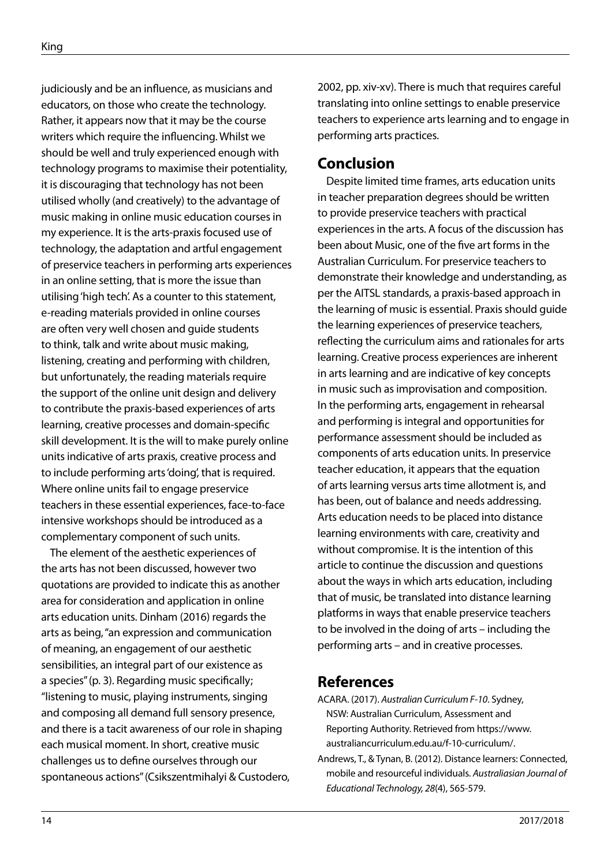judiciously and be an influence, as musicians and educators, on those who create the technology. Rather, it appears now that it may be the course writers which require the influencing. Whilst we should be well and truly experienced enough with technology programs to maximise their potentiality, it is discouraging that technology has not been utilised wholly (and creatively) to the advantage of music making in online music education courses in my experience. It is the arts-praxis focused use of technology, the adaptation and artful engagement of preservice teachers in performing arts experiences in an online setting, that is more the issue than utilising 'high tech'. As a counter to this statement, e-reading materials provided in online courses are often very well chosen and guide students to think, talk and write about music making, listening, creating and performing with children, but unfortunately, the reading materials require the support of the online unit design and delivery to contribute the praxis-based experiences of arts learning, creative processes and domain-specific skill development. It is the will to make purely online units indicative of arts praxis, creative process and to include performing arts 'doing', that is required. Where online units fail to engage preservice teachers in these essential experiences, face-to-face intensive workshops should be introduced as a complementary component of such units.

The element of the aesthetic experiences of the arts has not been discussed, however two quotations are provided to indicate this as another area for consideration and application in online arts education units. Dinham (2016) regards the arts as being, "an expression and communication of meaning, an engagement of our aesthetic sensibilities, an integral part of our existence as a species" (p. 3). Regarding music specifically; "listening to music, playing instruments, singing and composing all demand full sensory presence, and there is a tacit awareness of our role in shaping each musical moment. In short, creative music challenges us to define ourselves through our spontaneous actions" (Csikszentmihalyi & Custodero, 2002, pp. xiv-xv). There is much that requires careful translating into online settings to enable preservice teachers to experience arts learning and to engage in performing arts practices.

### **Conclusion**

Despite limited time frames, arts education units in teacher preparation degrees should be written to provide preservice teachers with practical experiences in the arts. A focus of the discussion has been about Music, one of the five art forms in the Australian Curriculum. For preservice teachers to demonstrate their knowledge and understanding, as per the AITSL standards, a praxis-based approach in the learning of music is essential. Praxis should guide the learning experiences of preservice teachers, reflecting the curriculum aims and rationales for arts learning. Creative process experiences are inherent in arts learning and are indicative of key concepts in music such as improvisation and composition. In the performing arts, engagement in rehearsal and performing is integral and opportunities for performance assessment should be included as components of arts education units. In preservice teacher education, it appears that the equation of arts learning versus arts time allotment is, and has been, out of balance and needs addressing. Arts education needs to be placed into distance learning environments with care, creativity and without compromise. It is the intention of this article to continue the discussion and questions about the ways in which arts education, including that of music, be translated into distance learning platforms in ways that enable preservice teachers to be involved in the doing of arts – including the performing arts – and in creative processes.

## **References**

- ACARA. (2017). *Australian Curriculum F-10*. Sydney, NSW: Australian Curriculum, Assessment and Reporting Authority. Retrieved from https://www. australiancurriculum.edu.au/f-10-curriculum/.
- Andrews, T., & Tynan, B. (2012). Distance learners: Connected, mobile and resourceful individuals. *Australiasian Journal of Educational Technology, 28*(4), 565-579.